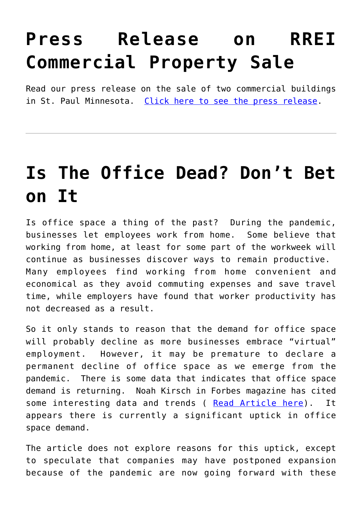#### **[Press Release on RREI](https://resultsrealestateinc.com/press-release-on-rrei-property-sale/) [Commercial Property Sale](https://resultsrealestateinc.com/press-release-on-rrei-property-sale/)**

Read our press release on the sale of two commercial buildings in St. Paul Minnesota. [Click here to see the press release](https://www.prweb.com/releases/rrei_announces_sale_of_commercial_buildings_in_st_paul/prweb18117478.htm).

#### **[Is The Office Dead? Don't Bet](https://resultsrealestateinc.com/is-the-office-dead-dont-bet-on-it-2/) [on It](https://resultsrealestateinc.com/is-the-office-dead-dont-bet-on-it-2/)**

Is office space a thing of the past? During the pandemic, businesses let employees work from home. Some believe that working from home, at least for some part of the workweek will continue as businesses discover ways to remain productive. Many employees find working from home convenient and economical as they avoid commuting expenses and save travel time, while employers have found that worker productivity has not decreased as a result.

So it only stands to reason that the demand for office space will probably decline as more businesses embrace "virtual" employment. However, it may be premature to declare a permanent decline of office space as we emerge from the pandemic. There is some data that indicates that office space demand is returning. Noah Kirsch in Forbes magazine has cited some interesting data and trends ( [Read Article here](https://www.forbes.com/sites/noahkirsch/2021/04/28/the-office-is-dead-long-live-the-office-demand-is-back-but-its-still-a-tenants-market/?sh=2fff1e1123cd)). It appears there is currently a significant uptick in office space demand.

The article does not explore reasons for this uptick, except to speculate that companies may have postponed expansion because of the pandemic are now going forward with these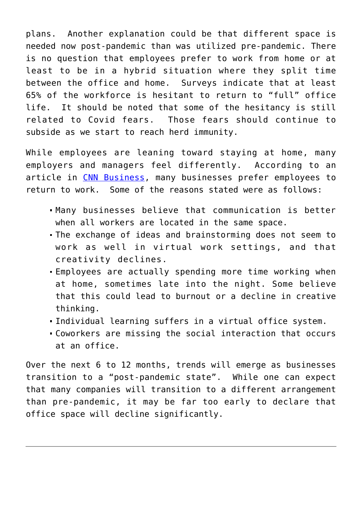plans. Another explanation could be that different space is needed now post-pandemic than was utilized pre-pandemic. There is no question that employees prefer to work from home or at least to be in a hybrid situation where they split time between the office and home. Surveys indicate that at least 65% of the workforce is hesitant to return to "full" office life. It should be noted that some of the hesitancy is still related to Covid fears. Those fears should continue to subside as we start to reach herd immunity.

While employees are leaning toward staying at home, many employers and managers feel differently. According to an article in [CNN Business](https://www.cnn.com/2021/05/17/success/going-back-to-the-office/index.html), many businesses prefer employees to return to work. Some of the reasons stated were as follows:

- Many businesses believe that communication is better when all workers are located in the same space.
- The exchange of ideas and brainstorming does not seem to work as well in virtual work settings, and that creativity declines.
- Employees are actually spending more time working when at home, sometimes late into the night. Some believe that this could lead to burnout or a decline in creative thinking.
- Individual learning suffers in a virtual office system.
- Coworkers are missing the social interaction that occurs at an office.

Over the next 6 to 12 months, trends will emerge as businesses transition to a "post-pandemic state". While one can expect that many companies will transition to a different arrangement than pre-pandemic, it may be far too early to declare that office space will decline significantly.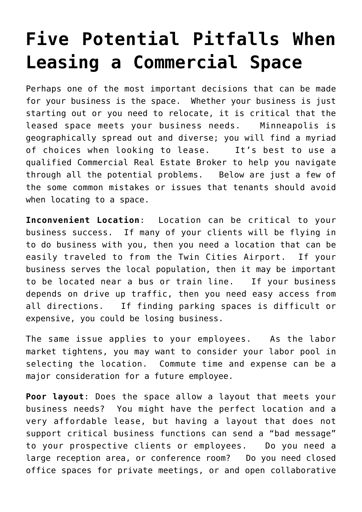# **[Five Potential Pitfalls When](https://resultsrealestateinc.com/five-potential-pitfalls-when-leasing-a-commercial-space/) [Leasing a Commercial Space](https://resultsrealestateinc.com/five-potential-pitfalls-when-leasing-a-commercial-space/)**

Perhaps one of the most important decisions that can be made for your business is the space. Whether your business is just starting out or you need to relocate, it is critical that the leased space meets your business needs. Minneapolis is geographically spread out and diverse; you will find a myriad of choices when looking to lease. It's best to use a qualified Commercial Real Estate Broker to help you navigate through all the potential problems. Below are just a few of the some common mistakes or issues that tenants should avoid when locating to a space.

**Inconvenient Location**: Location can be critical to your business success. If many of your clients will be flying in to do business with you, then you need a location that can be easily traveled to from the Twin Cities Airport. If your business serves the local population, then it may be important to be located near a bus or train line. If your business depends on drive up traffic, then you need easy access from all directions. If finding parking spaces is difficult or expensive, you could be losing business.

The same issue applies to your employees. As the labor market tightens, you may want to consider your labor pool in selecting the location. Commute time and expense can be a major consideration for a future employee.

**Poor layout**: Does the space allow a layout that meets your business needs? You might have the perfect location and a very affordable lease, but having a layout that does not support critical business functions can send a "bad message" to your prospective clients or employees. Do you need a large reception area, or conference room? Do you need closed office spaces for private meetings, or and open collaborative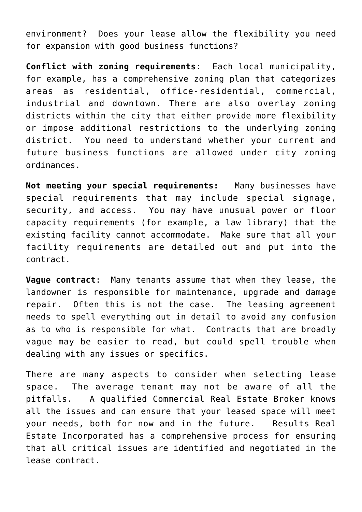environment? Does your lease allow the flexibility you need for expansion with good business functions?

**Conflict with zoning requirements**: Each local municipality, for example, has a comprehensive zoning plan that categorizes areas as residential, office-residential, commercial, industrial and downtown. There are also overlay zoning districts within the city that either provide more flexibility or impose additional restrictions to the underlying zoning district. You need to understand whether your current and future business functions are allowed under city zoning ordinances.

**Not meeting your special requirements:** Many businesses have special requirements that may include special signage, security, and access. You may have unusual power or floor capacity requirements (for example, a law library) that the existing facility cannot accommodate. Make sure that all your facility requirements are detailed out and put into the contract.

**Vague contract**: Many tenants assume that when they lease, the landowner is responsible for maintenance, upgrade and damage repair. Often this is not the case. The leasing agreement needs to spell everything out in detail to avoid any confusion as to who is responsible for what. Contracts that are broadly vague may be easier to read, but could spell trouble when dealing with any issues or specifics.

There are many aspects to consider when selecting lease space. The average tenant may not be aware of all the pitfalls. A qualified Commercial Real Estate Broker knows all the issues and can ensure that your leased space will meet your needs, both for now and in the future. Results Real Estate Incorporated has a comprehensive process for ensuring that all critical issues are identified and negotiated in the lease contract.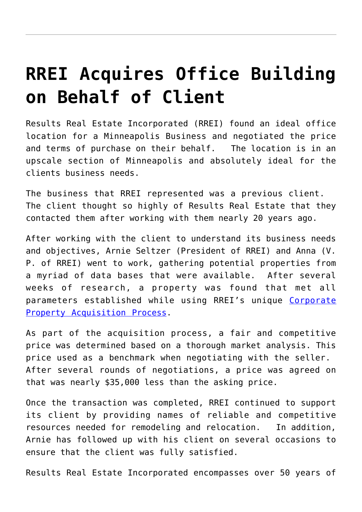# **[RREI Acquires Office Building](https://resultsrealestateinc.com/rrei-acquires-office-building-on-behalf-of-client/) [on Behalf of Client](https://resultsrealestateinc.com/rrei-acquires-office-building-on-behalf-of-client/)**

Results Real Estate Incorporated (RREI) found an ideal office location for a Minneapolis Business and negotiated the price and terms of purchase on their behalf. The location is in an upscale section of Minneapolis and absolutely ideal for the clients business needs.

The business that RREI represented was a previous client. The client thought so highly of Results Real Estate that they contacted them after working with them nearly 20 years ago.

After working with the client to understand its business needs and objectives, Arnie Seltzer (President of RREI) and Anna (V. P. of RREI) went to work, gathering potential properties from a myriad of data bases that were available. After several weeks of research, a property was found that met all parameters established while using RREI's unique [Corporate](https://www.resultsrealestateinc.com/acquisition/) [Property Acquisition Process](https://www.resultsrealestateinc.com/acquisition/).

As part of the acquisition process, a fair and competitive price was determined based on a thorough market analysis. This price used as a benchmark when negotiating with the seller. After several rounds of negotiations, a price was agreed on that was nearly \$35,000 less than the asking price.

Once the transaction was completed, RREI continued to support its client by providing names of reliable and competitive resources needed for remodeling and relocation. In addition, Arnie has followed up with his client on several occasions to ensure that the client was fully satisfied.

Results Real Estate Incorporated encompasses over 50 years of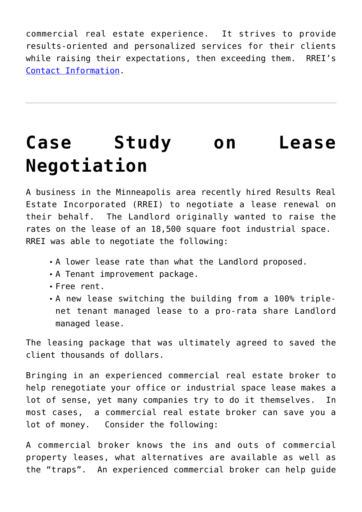commercial real estate experience. It strives to provide results-oriented and personalized services for their clients while raising their expectations, then exceeding them. RREI's [Contact Information.](https://www.resultsrealestateinc.com/contact/)

# **[Case Study on Lease](https://resultsrealestateinc.com/case-study-on-lease-negotiation/) [Negotiation](https://resultsrealestateinc.com/case-study-on-lease-negotiation/)**

A business in the Minneapolis area recently hired Results Real Estate Incorporated (RREI) to negotiate a lease renewal on their behalf. The Landlord originally wanted to raise the rates on the lease of an 18,500 square foot industrial space. RREI was able to negotiate the following:

- A lower lease rate than what the Landlord proposed.
- A Tenant improvement package.
- Free rent.
- A new lease switching the building from a 100% triplenet tenant managed lease to a pro-rata share Landlord managed lease.

The leasing package that was ultimately agreed to saved the client thousands of dollars.

Bringing in an experienced commercial real estate broker to help renegotiate your office or industrial space lease makes a lot of sense, yet many companies try to do it themselves. In most cases, a commercial real estate broker can save you a lot of money. Consider the following:

A commercial broker knows the ins and outs of commercial property leases, what alternatives are available as well as the "traps". An experienced commercial broker can help guide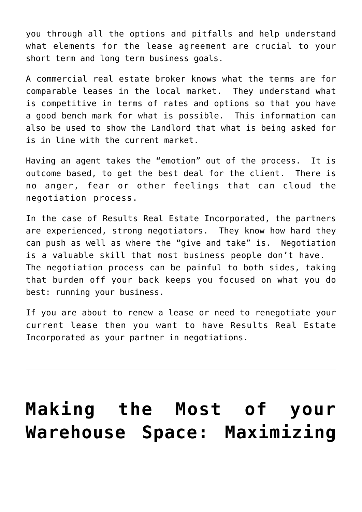you through all the options and pitfalls and help understand what elements for the lease agreement are crucial to your short term and long term business goals.

A commercial real estate broker knows what the terms are for comparable leases in the local market. They understand what is competitive in terms of rates and options so that you have a good bench mark for what is possible. This information can also be used to show the Landlord that what is being asked for is in line with the current market.

Having an agent takes the "emotion" out of the process. It is outcome based, to get the best deal for the client. There is no anger, fear or other feelings that can cloud the negotiation process.

In the case of Results Real Estate Incorporated, the partners are experienced, strong negotiators. They know how hard they can push as well as where the "give and take" is. Negotiation is a valuable skill that most business people don't have. The negotiation process can be painful to both sides, taking that burden off your back keeps you focused on what you do best: running your business.

If you are about to renew a lease or need to renegotiate your current lease then you want to have Results Real Estate Incorporated as your partner in negotiations.

### **[Making the Most of your](https://resultsrealestateinc.com/making-the-most-of-your-warehouse-space-maximizing-space-when-you-cant-expand/) [Warehouse Space: Maximizing](https://resultsrealestateinc.com/making-the-most-of-your-warehouse-space-maximizing-space-when-you-cant-expand/)**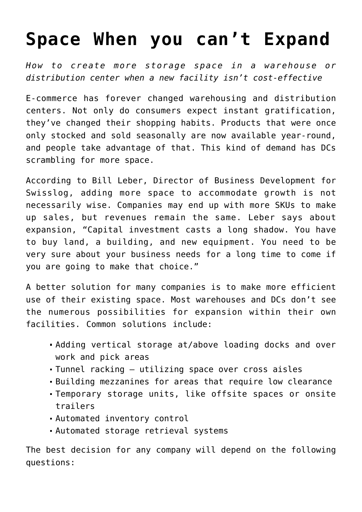#### **[Space When you can't Expand](https://resultsrealestateinc.com/making-the-most-of-your-warehouse-space-maximizing-space-when-you-cant-expand/)**

*How to create more storage space in a warehouse or distribution center when a new facility isn't cost-effective*

E-commerce has forever changed warehousing and distribution centers. Not only do consumers expect instant gratification, they've changed their shopping habits. Products that were once only stocked and sold seasonally are now available year-round, and people take advantage of that. This kind of demand has DCs scrambling for more space.

According to Bill Leber, Director of Business Development for Swisslog, adding more space to accommodate growth is not necessarily wise. Companies may end up with more SKUs to make up sales, but revenues remain the same. Leber says about expansion, "Capital investment casts a long shadow. You have to buy land, a building, and new equipment. You need to be very sure about your business needs for a long time to come if you are going to make that choice."

A better solution for many companies is to make more efficient use of their existing space. Most warehouses and DCs don't see the numerous possibilities for expansion within their own facilities. Common solutions include:

- Adding vertical storage at/above loading docks and over work and pick areas
- Tunnel racking utilizing space over cross aisles
- Building mezzanines for areas that require low clearance
- Temporary storage units, like offsite spaces or onsite trailers
- Automated inventory control
- Automated storage retrieval systems

The best decision for any company will depend on the following questions: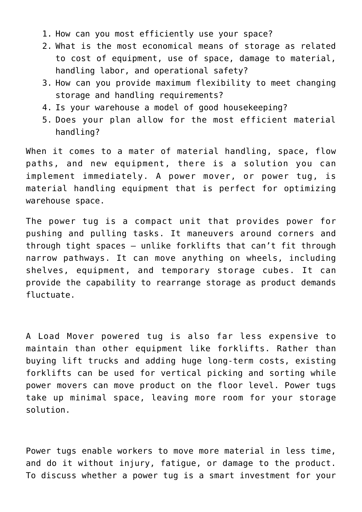- 1. How can you most efficiently use your space?
- 2. What is the most economical means of storage as related to cost of equipment, use of space, damage to material, handling labor, and operational safety?
- 3. How can you provide maximum flexibility to meet changing storage and handling requirements?
- 4. Is your warehouse a model of good housekeeping?
- 5. Does your plan allow for the most efficient material handling?

When it comes to a mater of material handling, space, flow paths, and new equipment, there is a solution you can implement immediately. A power mover, or power tug, is material handling equipment that is perfect for optimizing warehouse space.

The power tug is a compact unit that provides power for pushing and pulling tasks. It maneuvers around corners and through tight spaces – unlike forklifts that can't fit through narrow pathways. It can move anything on wheels, including shelves, equipment, and temporary storage cubes. It can provide the capability to rearrange storage as product demands fluctuate.

A Load Mover powered tug is also far less expensive to maintain than other equipment like forklifts. Rather than buying lift trucks and adding huge long-term costs, existing forklifts can be used for vertical picking and sorting while power movers can move product on the floor level. Power tugs take up minimal space, leaving more room for your storage solution.

Power tugs enable workers to move more material in less time, and do it without injury, fatigue, or damage to the product. To discuss whether a power tug is a smart investment for your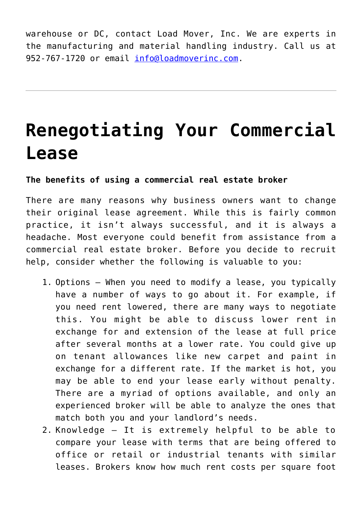warehouse or DC, contact Load Mover, Inc. We are experts in the manufacturing and material handling industry. Call us at 952-767-1720 or email [info@loadmoverinc.com.](mailto:info@loadmoverinc.com)

### **[Renegotiating Your Commercial](https://resultsrealestateinc.com/modifying-or-renegotiating-your-commercial-lease-benefits-of-using-a-commercial-real-estate-broker/) [Lease](https://resultsrealestateinc.com/modifying-or-renegotiating-your-commercial-lease-benefits-of-using-a-commercial-real-estate-broker/)**

#### **The benefits of using a commercial real estate broker**

There are many reasons why business owners want to change their original lease agreement. While this is fairly common practice, it isn't always successful, and it is always a headache. Most everyone could benefit from assistance from a commercial real estate broker. Before you decide to recruit help, consider whether the following is valuable to you:

- 1. Options When you need to modify a lease, you typically have a number of ways to go about it. For example, if you need rent lowered, there are many ways to negotiate this. You might be able to discuss lower rent in exchange for and extension of the lease at full price after several months at a lower rate. You could give up on tenant allowances like new carpet and paint in exchange for a different rate. If the market is hot, you may be able to end your lease early without penalty. There are a myriad of options available, and only an experienced broker will be able to analyze the ones that match both you and your landlord's needs.
- 2. Knowledge It is extremely helpful to be able to compare your lease with terms that are being offered to office or retail or industrial tenants with similar leases. Brokers know how much rent costs per square foot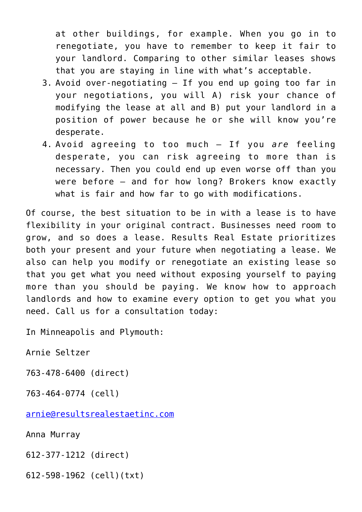at other buildings, for example. When you go in to renegotiate, you have to remember to keep it fair to your landlord. Comparing to other similar leases shows that you are staying in line with what's acceptable.

- 3. Avoid over-negotiating If you end up going too far in your negotiations, you will A) risk your chance of modifying the lease at all and B) put your landlord in a position of power because he or she will know you're desperate.
- 4. Avoid agreeing to too much If you *are* feeling desperate, you can risk agreeing to more than is necessary. Then you could end up even worse off than you were before – and for how long? Brokers know exactly what is fair and how far to go with modifications.

Of course, the best situation to be in with a lease is to have flexibility in your original contract. Businesses need room to grow, and so does a lease. Results Real Estate prioritizes both your present and your future when negotiating a lease. We also can help you modify or renegotiate an existing lease so that you get what you need without exposing yourself to paying more than you should be paying. We know how to approach landlords and how to examine every option to get you what you need. Call us for a consultation today:

In Minneapolis and Plymouth:

Arnie Seltzer

763-478-6400 (direct)

763-464-0774 (cell)

[arnie@resultsrealestaetinc.com](mailto:arnie@resultsrealestaetinc.com)

Anna Murray

612-377-1212 (direct)

612-598-1962 (cell)(txt)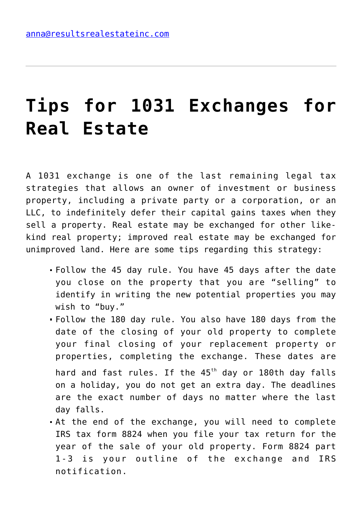# **[Tips for 1031 Exchanges for](https://resultsrealestateinc.com/tips-for-1031-exchanges-for-real-estate/) [Real Estate](https://resultsrealestateinc.com/tips-for-1031-exchanges-for-real-estate/)**

A 1031 exchange is one of the last remaining legal tax strategies that allows an owner of investment or business property, including a private party or a corporation, or an LLC, to indefinitely defer their capital gains taxes when they sell a property. Real estate may be exchanged for other likekind real property; improved real estate may be exchanged for unimproved land. Here are some tips regarding this strategy:

- Follow the 45 day rule. You have 45 days after the date you close on the property that you are "selling" to identify in writing the new potential properties you may wish to "buy."
- Follow the 180 day rule. You also have 180 days from the date of the closing of your old property to complete your final closing of your replacement property or properties, completing the exchange. These dates are hard and fast rules. If the  $45<sup>th</sup>$  day or 180th day falls on a holiday, you do not get an extra day. The deadlines are the exact number of days no matter where the last day falls.
- At the end of the exchange, you will need to complete IRS tax form 8824 when you file your tax return for the year of the sale of your old property. Form 8824 part 1-3 is your outline of the exchange and IRS notification.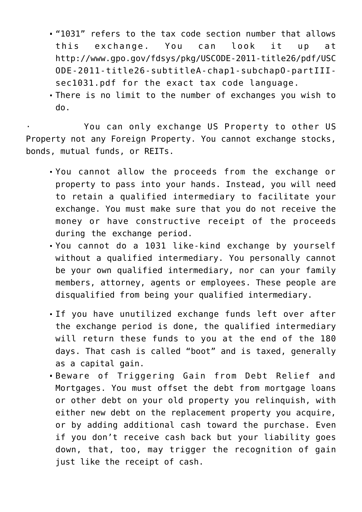- "1031" refers to the tax code section number that allows this exchange. You can look it up at http://www.gpo.gov/fdsys/pkg/USCODE-2011-title26/pdf/USC ODE-2011-title26-subtitleA-chap1-subchapO-partIIIsec1031.pdf for the exact tax code language.
- There is no limit to the number of exchanges you wish to do.

You can only exchange US Property to other US Property not any Foreign Property. You cannot exchange stocks, bonds, mutual funds, or REITs.

- You cannot allow the proceeds from the exchange or property to pass into your hands. Instead, you will need to retain a qualified intermediary to facilitate your exchange. You must make sure that you do not receive the money or have constructive receipt of the proceeds during the exchange period.
- You cannot do a 1031 like-kind exchange by yourself without a qualified intermediary. You personally cannot be your own qualified intermediary, nor can your family members, attorney, agents or employees. These people are disqualified from being your qualified intermediary.
- If you have unutilized exchange funds left over after the exchange period is done, the qualified intermediary will return these funds to you at the end of the 180 days. That cash is called "boot" and is taxed, generally as a capital gain.
- Beware of Triggering Gain from Debt Relief and Mortgages. You must offset the debt from mortgage loans or other debt on your old property you relinquish, with either new debt on the replacement property you acquire, or by adding additional cash toward the purchase. Even if you don't receive cash back but your liability goes down, that, too, may trigger the recognition of gain just like the receipt of cash.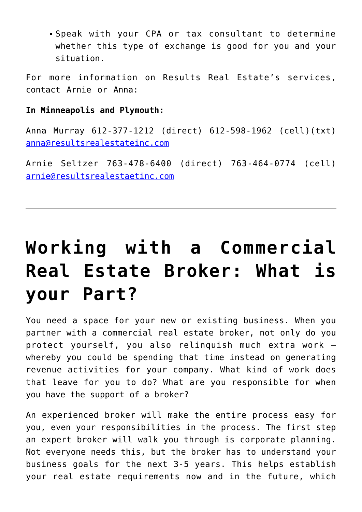Speak with your CPA or tax consultant to determine whether this type of exchange is good for you and your situation.

For more information on Results Real Estate's services, contact Arnie or Anna:

#### **In Minneapolis and Plymouth:**

Anna Murray 612-377-1212 (direct) 612-598-1962 (cell)(txt) [anna@resultsrealestateinc.com](mailto:anna@resultsrealestateinc.com)

Arnie Seltzer 763-478-6400 (direct) 763-464-0774 (cell) [arnie@resultsrealestaetinc.com](mailto:arnie@resultsrealestaetinc.com)

# **[Working with a Commercial](https://resultsrealestateinc.com/working-with-a-commercial-real-estate-broker-what-is-your-part/) [Real Estate Broker: What is](https://resultsrealestateinc.com/working-with-a-commercial-real-estate-broker-what-is-your-part/) [your Part?](https://resultsrealestateinc.com/working-with-a-commercial-real-estate-broker-what-is-your-part/)**

You need a space for your new or existing business. When you partner with a commercial real estate broker, not only do you protect yourself, you also relinquish much extra work – whereby you could be spending that time instead on generating revenue activities for your company. What kind of work does that leave for you to do? What are you responsible for when you have the support of a broker?

An experienced broker will make the entire process easy for you, even your responsibilities in the process. The first step an expert broker will walk you through is corporate planning. Not everyone needs this, but the broker has to understand your business goals for the next 3-5 years. This helps establish your real estate requirements now and in the future, which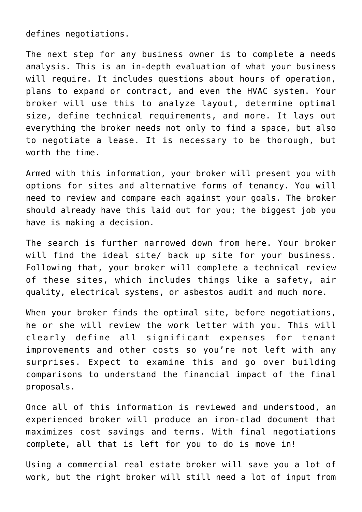defines negotiations.

The next step for any business owner is to complete a needs analysis. This is an in-depth evaluation of what your business will require. It includes questions about hours of operation, plans to expand or contract, and even the HVAC system. Your broker will use this to analyze layout, determine optimal size, define technical requirements, and more. It lays out everything the broker needs not only to find a space, but also to negotiate a lease. It is necessary to be thorough, but worth the time.

Armed with this information, your broker will present you with options for sites and alternative forms of tenancy. You will need to review and compare each against your goals. The broker should already have this laid out for you; the biggest job you have is making a decision.

The search is further narrowed down from here. Your broker will find the ideal site/ back up site for your business. Following that, your broker will complete a technical review of these sites, which includes things like a safety, air quality, electrical systems, or asbestos audit and much more.

When your broker finds the optimal site, before negotiations, he or she will review the work letter with you. This will clearly define all significant expenses for tenant improvements and other costs so you're not left with any surprises. Expect to examine this and go over building comparisons to understand the financial impact of the final proposals.

Once all of this information is reviewed and understood, an experienced broker will produce an iron-clad document that maximizes cost savings and terms. With final negotiations complete, all that is left for you to do is move in!

Using a commercial real estate broker will save you a lot of work, but the right broker will still need a lot of input from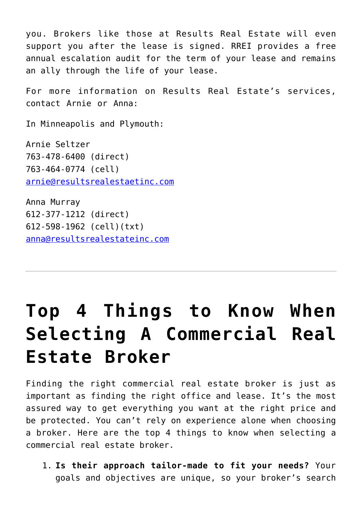you. Brokers like those at Results Real Estate will even support you after the lease is signed. RREI provides a free annual escalation audit for the term of your lease and remains an ally through the life of your lease.

For more information on Results Real Estate's services, contact Arnie or Anna:

In Minneapolis and Plymouth:

Arnie Seltzer 763-478-6400 (direct) 763-464-0774 (cell) [arnie@resultsrealestaetinc.com](mailto:arnie@resultsrealestaetinc.com)

Anna Murray 612-377-1212 (direct) 612-598-1962 (cell)(txt) [anna@resultsrealestateinc.com](mailto:anna@resultsrealestateinc.com)

# **[Top 4 Things to Know When](https://resultsrealestateinc.com/top-4-things-to-know-when-selecting-a-commercial-real-estate-broker/) [Selecting A Commercial Real](https://resultsrealestateinc.com/top-4-things-to-know-when-selecting-a-commercial-real-estate-broker/) [Estate Broker](https://resultsrealestateinc.com/top-4-things-to-know-when-selecting-a-commercial-real-estate-broker/)**

Finding the right commercial real estate broker is just as important as finding the right office and lease. It's the most assured way to get everything you want at the right price and be protected. You can't rely on experience alone when choosing a broker. Here are the top 4 things to know when selecting a commercial real estate broker.

1. **Is their approach tailor-made to fit your needs?** Your goals and objectives are unique, so your broker's search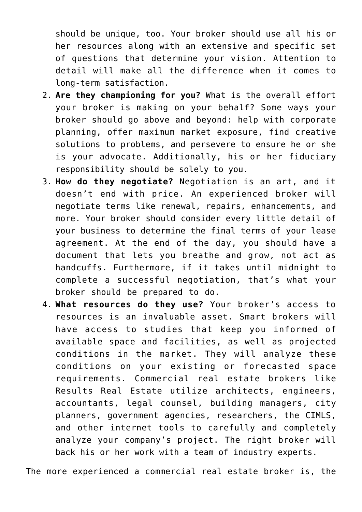should be unique, too. Your broker should use all his or her resources along with an extensive and specific set of questions that determine your vision. Attention to detail will make all the difference when it comes to long-term satisfaction.

- 2. **Are they championing for you?** What is the overall effort your broker is making on your behalf? Some ways your broker should go above and beyond: help with corporate planning, offer maximum market exposure, find creative solutions to problems, and persevere to ensure he or she is your advocate. Additionally, his or her fiduciary responsibility should be solely to you.
- 3. **How do they negotiate?** Negotiation is an art, and it doesn't end with price. An experienced broker will negotiate terms like renewal, repairs, enhancements, and more. Your broker should consider every little detail of your business to determine the final terms of your lease agreement. At the end of the day, you should have a document that lets you breathe and grow, not act as handcuffs. Furthermore, if it takes until midnight to complete a successful negotiation, that's what your broker should be prepared to do.
- 4. **What resources do they use?** Your broker's access to resources is an invaluable asset. Smart brokers will have access to studies that keep you informed of available space and facilities, as well as projected conditions in the market. They will analyze these conditions on your existing or forecasted space requirements. Commercial real estate brokers like Results Real Estate utilize architects, engineers, accountants, legal counsel, building managers, city planners, government agencies, researchers, the CIMLS, and other internet tools to carefully and completely analyze your company's project. The right broker will back his or her work with a team of industry experts.

The more experienced a commercial real estate broker is, the